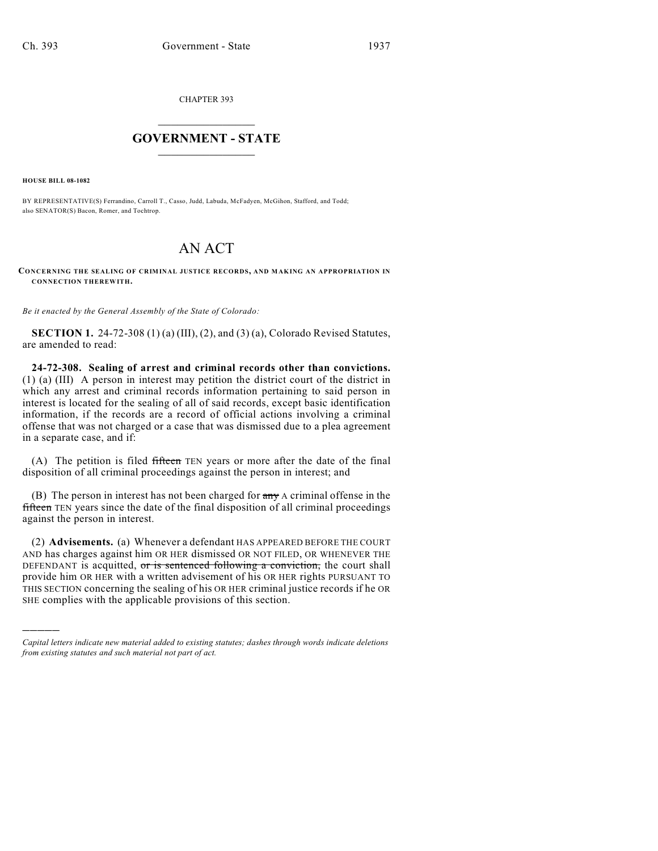CHAPTER 393

## $\overline{\phantom{a}}$  . The set of the set of the set of the set of the set of the set of the set of the set of the set of the set of the set of the set of the set of the set of the set of the set of the set of the set of the set o **GOVERNMENT - STATE**  $\_$

**HOUSE BILL 08-1082**

)))))

BY REPRESENTATIVE(S) Ferrandino, Carroll T., Casso, Judd, Labuda, McFadyen, McGihon, Stafford, and Todd; also SENATOR(S) Bacon, Romer, and Tochtrop.

## AN ACT

**CO NCERNING THE SEALING OF CRIMINAL JUSTICE RECORDS, AND MAKING AN APPROPRIATION IN CONNECTION THEREWITH.**

*Be it enacted by the General Assembly of the State of Colorado:*

**SECTION 1.** 24-72-308 (1) (a) (III), (2), and (3) (a), Colorado Revised Statutes, are amended to read:

**24-72-308. Sealing of arrest and criminal records other than convictions.** (1) (a) (III) A person in interest may petition the district court of the district in which any arrest and criminal records information pertaining to said person in interest is located for the sealing of all of said records, except basic identification information, if the records are a record of official actions involving a criminal offense that was not charged or a case that was dismissed due to a plea agreement in a separate case, and if:

(A) The petition is filed fifteen TEN years or more after the date of the final disposition of all criminal proceedings against the person in interest; and

(B) The person in interest has not been charged for  $\frac{a_n}{b_n}$  A criminal offense in the fifteen TEN years since the date of the final disposition of all criminal proceedings against the person in interest.

(2) **Advisements.** (a) Whenever a defendant HAS APPEARED BEFORE THE COURT AND has charges against him OR HER dismissed OR NOT FILED, OR WHENEVER THE DEFENDANT is acquitted, or is sentenced following a conviction, the court shall provide him OR HER with a written advisement of his OR HER rights PURSUANT TO THIS SECTION concerning the sealing of his OR HER criminal justice records if he OR SHE complies with the applicable provisions of this section.

*Capital letters indicate new material added to existing statutes; dashes through words indicate deletions from existing statutes and such material not part of act.*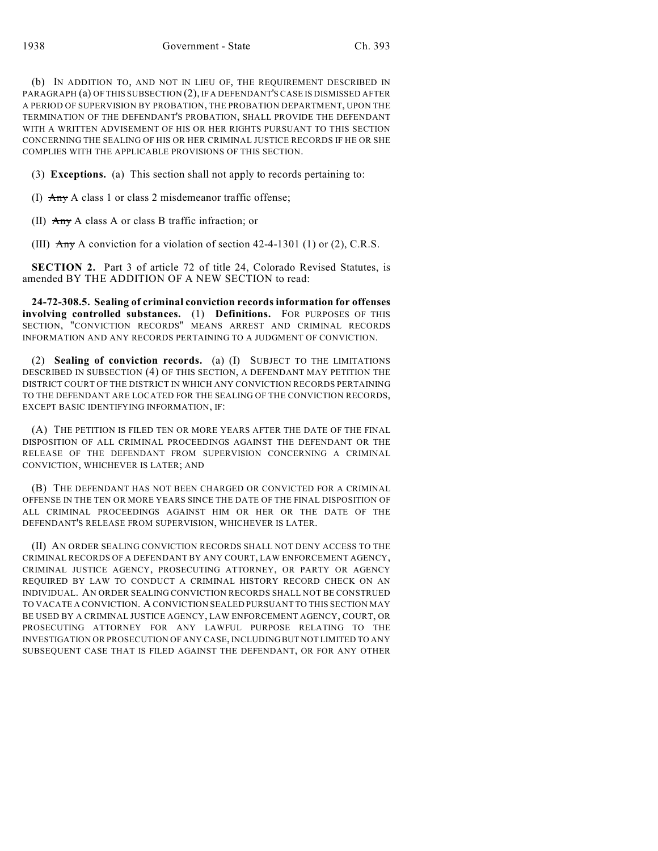(b) IN ADDITION TO, AND NOT IN LIEU OF, THE REQUIREMENT DESCRIBED IN PARAGRAPH (a) OF THIS SUBSECTION (2), IF A DEFENDANT'S CASE IS DISMISSED AFTER A PERIOD OF SUPERVISION BY PROBATION, THE PROBATION DEPARTMENT, UPON THE TERMINATION OF THE DEFENDANT'S PROBATION, SHALL PROVIDE THE DEFENDANT WITH A WRITTEN ADVISEMENT OF HIS OR HER RIGHTS PURSUANT TO THIS SECTION CONCERNING THE SEALING OF HIS OR HER CRIMINAL JUSTICE RECORDS IF HE OR SHE COMPLIES WITH THE APPLICABLE PROVISIONS OF THIS SECTION.

(3) **Exceptions.** (a) This section shall not apply to records pertaining to:

(I)  $\overrightarrow{Any}$  A class 1 or class 2 misdemeanor traffic offense;

(II)  $\overrightarrow{Any}$  A class A or class B traffic infraction; or

(III)  $\overline{A}$  A conviction for a violation of section 42-4-1301 (1) or (2), C.R.S.

**SECTION 2.** Part 3 of article 72 of title 24, Colorado Revised Statutes, is amended BY THE ADDITION OF A NEW SECTION to read:

**24-72-308.5. Sealing of criminal conviction records information for offenses involving controlled substances.** (1) **Definitions.** FOR PURPOSES OF THIS SECTION, "CONVICTION RECORDS" MEANS ARREST AND CRIMINAL RECORDS INFORMATION AND ANY RECORDS PERTAINING TO A JUDGMENT OF CONVICTION.

(2) **Sealing of conviction records.** (a) (I) SUBJECT TO THE LIMITATIONS DESCRIBED IN SUBSECTION (4) OF THIS SECTION, A DEFENDANT MAY PETITION THE DISTRICT COURT OF THE DISTRICT IN WHICH ANY CONVICTION RECORDS PERTAINING TO THE DEFENDANT ARE LOCATED FOR THE SEALING OF THE CONVICTION RECORDS, EXCEPT BASIC IDENTIFYING INFORMATION, IF:

(A) THE PETITION IS FILED TEN OR MORE YEARS AFTER THE DATE OF THE FINAL DISPOSITION OF ALL CRIMINAL PROCEEDINGS AGAINST THE DEFENDANT OR THE RELEASE OF THE DEFENDANT FROM SUPERVISION CONCERNING A CRIMINAL CONVICTION, WHICHEVER IS LATER; AND

(B) THE DEFENDANT HAS NOT BEEN CHARGED OR CONVICTED FOR A CRIMINAL OFFENSE IN THE TEN OR MORE YEARS SINCE THE DATE OF THE FINAL DISPOSITION OF ALL CRIMINAL PROCEEDINGS AGAINST HIM OR HER OR THE DATE OF THE DEFENDANT'S RELEASE FROM SUPERVISION, WHICHEVER IS LATER.

(II) AN ORDER SEALING CONVICTION RECORDS SHALL NOT DENY ACCESS TO THE CRIMINAL RECORDS OF A DEFENDANT BY ANY COURT, LAW ENFORCEMENT AGENCY, CRIMINAL JUSTICE AGENCY, PROSECUTING ATTORNEY, OR PARTY OR AGENCY REQUIRED BY LAW TO CONDUCT A CRIMINAL HISTORY RECORD CHECK ON AN INDIVIDUAL. AN ORDER SEALING CONVICTION RECORDS SHALL NOT BE CONSTRUED TO VACATE A CONVICTION. A CONVICTION SEALED PURSUANT TO THIS SECTION MAY BE USED BY A CRIMINAL JUSTICE AGENCY, LAW ENFORCEMENT AGENCY, COURT, OR PROSECUTING ATTORNEY FOR ANY LAWFUL PURPOSE RELATING TO THE INVESTIGATION OR PROSECUTION OF ANY CASE, INCLUDING BUT NOT LIMITED TO ANY SUBSEQUENT CASE THAT IS FILED AGAINST THE DEFENDANT, OR FOR ANY OTHER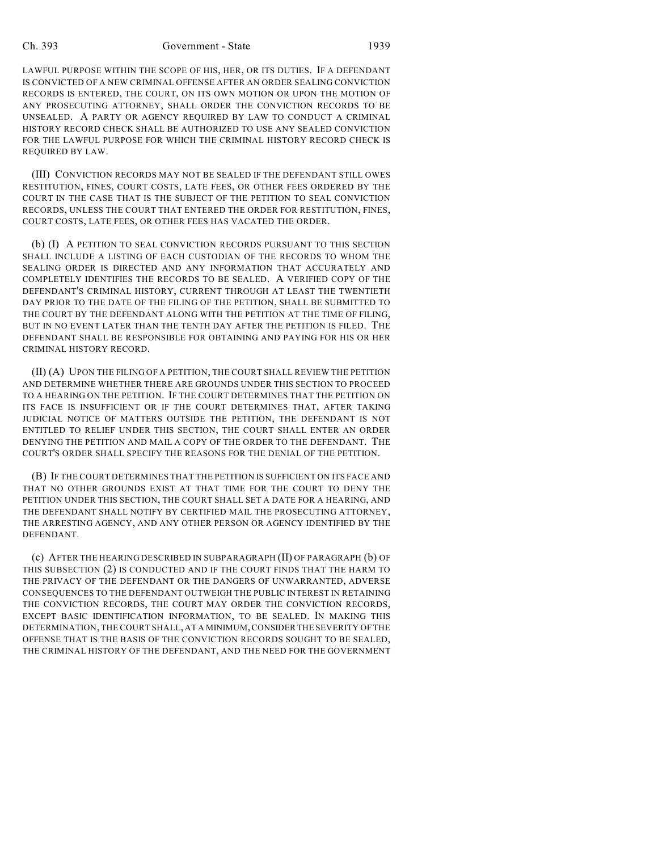LAWFUL PURPOSE WITHIN THE SCOPE OF HIS, HER, OR ITS DUTIES. IF A DEFENDANT IS CONVICTED OF A NEW CRIMINAL OFFENSE AFTER AN ORDER SEALING CONVICTION RECORDS IS ENTERED, THE COURT, ON ITS OWN MOTION OR UPON THE MOTION OF ANY PROSECUTING ATTORNEY, SHALL ORDER THE CONVICTION RECORDS TO BE UNSEALED. A PARTY OR AGENCY REQUIRED BY LAW TO CONDUCT A CRIMINAL HISTORY RECORD CHECK SHALL BE AUTHORIZED TO USE ANY SEALED CONVICTION FOR THE LAWFUL PURPOSE FOR WHICH THE CRIMINAL HISTORY RECORD CHECK IS REQUIRED BY LAW.

(III) CONVICTION RECORDS MAY NOT BE SEALED IF THE DEFENDANT STILL OWES RESTITUTION, FINES, COURT COSTS, LATE FEES, OR OTHER FEES ORDERED BY THE COURT IN THE CASE THAT IS THE SUBJECT OF THE PETITION TO SEAL CONVICTION RECORDS, UNLESS THE COURT THAT ENTERED THE ORDER FOR RESTITUTION, FINES, COURT COSTS, LATE FEES, OR OTHER FEES HAS VACATED THE ORDER.

(b) (I) A PETITION TO SEAL CONVICTION RECORDS PURSUANT TO THIS SECTION SHALL INCLUDE A LISTING OF EACH CUSTODIAN OF THE RECORDS TO WHOM THE SEALING ORDER IS DIRECTED AND ANY INFORMATION THAT ACCURATELY AND COMPLETELY IDENTIFIES THE RECORDS TO BE SEALED. A VERIFIED COPY OF THE DEFENDANT'S CRIMINAL HISTORY, CURRENT THROUGH AT LEAST THE TWENTIETH DAY PRIOR TO THE DATE OF THE FILING OF THE PETITION, SHALL BE SUBMITTED TO THE COURT BY THE DEFENDANT ALONG WITH THE PETITION AT THE TIME OF FILING, BUT IN NO EVENT LATER THAN THE TENTH DAY AFTER THE PETITION IS FILED. THE DEFENDANT SHALL BE RESPONSIBLE FOR OBTAINING AND PAYING FOR HIS OR HER CRIMINAL HISTORY RECORD.

(II) (A) UPON THE FILING OF A PETITION, THE COURT SHALL REVIEW THE PETITION AND DETERMINE WHETHER THERE ARE GROUNDS UNDER THIS SECTION TO PROCEED TO A HEARING ON THE PETITION. IF THE COURT DETERMINES THAT THE PETITION ON ITS FACE IS INSUFFICIENT OR IF THE COURT DETERMINES THAT, AFTER TAKING JUDICIAL NOTICE OF MATTERS OUTSIDE THE PETITION, THE DEFENDANT IS NOT ENTITLED TO RELIEF UNDER THIS SECTION, THE COURT SHALL ENTER AN ORDER DENYING THE PETITION AND MAIL A COPY OF THE ORDER TO THE DEFENDANT. THE COURT'S ORDER SHALL SPECIFY THE REASONS FOR THE DENIAL OF THE PETITION.

(B) IF THE COURT DETERMINES THAT THE PETITION IS SUFFICIENT ON ITS FACE AND THAT NO OTHER GROUNDS EXIST AT THAT TIME FOR THE COURT TO DENY THE PETITION UNDER THIS SECTION, THE COURT SHALL SET A DATE FOR A HEARING, AND THE DEFENDANT SHALL NOTIFY BY CERTIFIED MAIL THE PROSECUTING ATTORNEY, THE ARRESTING AGENCY, AND ANY OTHER PERSON OR AGENCY IDENTIFIED BY THE DEFENDANT.

(c) AFTER THE HEARING DESCRIBED IN SUBPARAGRAPH (II) OF PARAGRAPH (b) OF THIS SUBSECTION (2) IS CONDUCTED AND IF THE COURT FINDS THAT THE HARM TO THE PRIVACY OF THE DEFENDANT OR THE DANGERS OF UNWARRANTED, ADVERSE CONSEQUENCES TO THE DEFENDANT OUTWEIGH THE PUBLIC INTEREST IN RETAINING THE CONVICTION RECORDS, THE COURT MAY ORDER THE CONVICTION RECORDS, EXCEPT BASIC IDENTIFICATION INFORMATION, TO BE SEALED. IN MAKING THIS DETERMINATION, THE COURT SHALL, AT A MINIMUM, CONSIDER THE SEVERITY OF THE OFFENSE THAT IS THE BASIS OF THE CONVICTION RECORDS SOUGHT TO BE SEALED, THE CRIMINAL HISTORY OF THE DEFENDANT, AND THE NEED FOR THE GOVERNMENT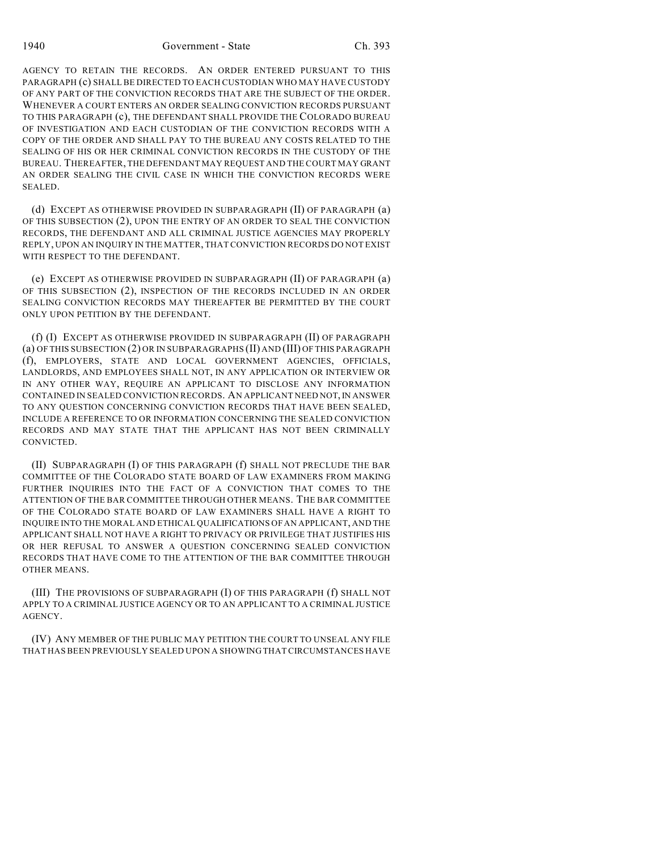1940 Government - State Ch. 393

AGENCY TO RETAIN THE RECORDS. AN ORDER ENTERED PURSUANT TO THIS PARAGRAPH (c) SHALL BE DIRECTED TO EACH CUSTODIAN WHO MAY HAVE CUSTODY OF ANY PART OF THE CONVICTION RECORDS THAT ARE THE SUBJECT OF THE ORDER. WHENEVER A COURT ENTERS AN ORDER SEALING CONVICTION RECORDS PURSUANT TO THIS PARAGRAPH (c), THE DEFENDANT SHALL PROVIDE THE COLORADO BUREAU OF INVESTIGATION AND EACH CUSTODIAN OF THE CONVICTION RECORDS WITH A COPY OF THE ORDER AND SHALL PAY TO THE BUREAU ANY COSTS RELATED TO THE SEALING OF HIS OR HER CRIMINAL CONVICTION RECORDS IN THE CUSTODY OF THE BUREAU. THEREAFTER, THE DEFENDANT MAY REQUEST AND THE COURT MAY GRANT AN ORDER SEALING THE CIVIL CASE IN WHICH THE CONVICTION RECORDS WERE SEALED.

(d) EXCEPT AS OTHERWISE PROVIDED IN SUBPARAGRAPH (II) OF PARAGRAPH (a) OF THIS SUBSECTION (2), UPON THE ENTRY OF AN ORDER TO SEAL THE CONVICTION RECORDS, THE DEFENDANT AND ALL CRIMINAL JUSTICE AGENCIES MAY PROPERLY REPLY, UPON AN INQUIRY IN THE MATTER, THAT CONVICTION RECORDS DO NOT EXIST WITH RESPECT TO THE DEFENDANT.

(e) EXCEPT AS OTHERWISE PROVIDED IN SUBPARAGRAPH (II) OF PARAGRAPH (a) OF THIS SUBSECTION (2), INSPECTION OF THE RECORDS INCLUDED IN AN ORDER SEALING CONVICTION RECORDS MAY THEREAFTER BE PERMITTED BY THE COURT ONLY UPON PETITION BY THE DEFENDANT.

(f) (I) EXCEPT AS OTHERWISE PROVIDED IN SUBPARAGRAPH (II) OF PARAGRAPH (a) OF THIS SUBSECTION (2) OR IN SUBPARAGRAPHS (II) AND (III) OF THIS PARAGRAPH (f), EMPLOYERS, STATE AND LOCAL GOVERNMENT AGENCIES, OFFICIALS, LANDLORDS, AND EMPLOYEES SHALL NOT, IN ANY APPLICATION OR INTERVIEW OR IN ANY OTHER WAY, REQUIRE AN APPLICANT TO DISCLOSE ANY INFORMATION CONTAINED IN SEALED CONVICTION RECORDS. AN APPLICANT NEED NOT, IN ANSWER TO ANY QUESTION CONCERNING CONVICTION RECORDS THAT HAVE BEEN SEALED, INCLUDE A REFERENCE TO OR INFORMATION CONCERNING THE SEALED CONVICTION RECORDS AND MAY STATE THAT THE APPLICANT HAS NOT BEEN CRIMINALLY CONVICTED.

(II) SUBPARAGRAPH (I) OF THIS PARAGRAPH (f) SHALL NOT PRECLUDE THE BAR COMMITTEE OF THE COLORADO STATE BOARD OF LAW EXAMINERS FROM MAKING FURTHER INQUIRIES INTO THE FACT OF A CONVICTION THAT COMES TO THE ATTENTION OF THE BAR COMMITTEE THROUGH OTHER MEANS. THE BAR COMMITTEE OF THE COLORADO STATE BOARD OF LAW EXAMINERS SHALL HAVE A RIGHT TO INQUIRE INTO THE MORAL AND ETHICAL QUALIFICATIONS OF AN APPLICANT, AND THE APPLICANT SHALL NOT HAVE A RIGHT TO PRIVACY OR PRIVILEGE THAT JUSTIFIES HIS OR HER REFUSAL TO ANSWER A QUESTION CONCERNING SEALED CONVICTION RECORDS THAT HAVE COME TO THE ATTENTION OF THE BAR COMMITTEE THROUGH OTHER MEANS.

(III) THE PROVISIONS OF SUBPARAGRAPH (I) OF THIS PARAGRAPH (f) SHALL NOT APPLY TO A CRIMINAL JUSTICE AGENCY OR TO AN APPLICANT TO A CRIMINAL JUSTICE AGENCY.

(IV) ANY MEMBER OF THE PUBLIC MAY PETITION THE COURT TO UNSEAL ANY FILE THAT HAS BEEN PREVIOUSLY SEALED UPON A SHOWING THAT CIRCUMSTANCES HAVE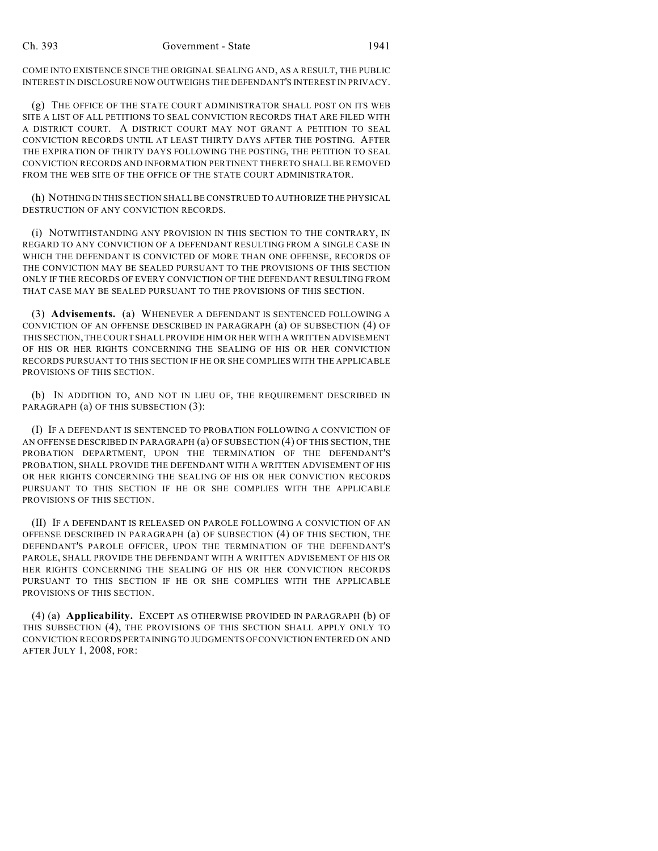COME INTO EXISTENCE SINCE THE ORIGINAL SEALING AND, AS A RESULT, THE PUBLIC INTEREST IN DISCLOSURE NOW OUTWEIGHS THE DEFENDANT'S INTEREST IN PRIVACY.

(g) THE OFFICE OF THE STATE COURT ADMINISTRATOR SHALL POST ON ITS WEB SITE A LIST OF ALL PETITIONS TO SEAL CONVICTION RECORDS THAT ARE FILED WITH A DISTRICT COURT. A DISTRICT COURT MAY NOT GRANT A PETITION TO SEAL CONVICTION RECORDS UNTIL AT LEAST THIRTY DAYS AFTER THE POSTING. AFTER THE EXPIRATION OF THIRTY DAYS FOLLOWING THE POSTING, THE PETITION TO SEAL CONVICTION RECORDS AND INFORMATION PERTINENT THERETO SHALL BE REMOVED FROM THE WEB SITE OF THE OFFICE OF THE STATE COURT ADMINISTRATOR.

(h) NOTHING IN THIS SECTION SHALL BE CONSTRUED TO AUTHORIZE THE PHYSICAL DESTRUCTION OF ANY CONVICTION RECORDS.

(i) NOTWITHSTANDING ANY PROVISION IN THIS SECTION TO THE CONTRARY, IN REGARD TO ANY CONVICTION OF A DEFENDANT RESULTING FROM A SINGLE CASE IN WHICH THE DEFENDANT IS CONVICTED OF MORE THAN ONE OFFENSE, RECORDS OF THE CONVICTION MAY BE SEALED PURSUANT TO THE PROVISIONS OF THIS SECTION ONLY IF THE RECORDS OF EVERY CONVICTION OF THE DEFENDANT RESULTING FROM THAT CASE MAY BE SEALED PURSUANT TO THE PROVISIONS OF THIS SECTION.

(3) **Advisements.** (a) WHENEVER A DEFENDANT IS SENTENCED FOLLOWING A CONVICTION OF AN OFFENSE DESCRIBED IN PARAGRAPH (a) OF SUBSECTION (4) OF THIS SECTION, THE COURT SHALL PROVIDE HIM OR HER WITH A WRITTEN ADVISEMENT OF HIS OR HER RIGHTS CONCERNING THE SEALING OF HIS OR HER CONVICTION RECORDS PURSUANT TO THIS SECTION IF HE OR SHE COMPLIES WITH THE APPLICABLE PROVISIONS OF THIS SECTION.

(b) IN ADDITION TO, AND NOT IN LIEU OF, THE REQUIREMENT DESCRIBED IN PARAGRAPH (a) OF THIS SUBSECTION (3):

(I) IF A DEFENDANT IS SENTENCED TO PROBATION FOLLOWING A CONVICTION OF AN OFFENSE DESCRIBED IN PARAGRAPH (a) OF SUBSECTION (4) OF THIS SECTION, THE PROBATION DEPARTMENT, UPON THE TERMINATION OF THE DEFENDANT'S PROBATION, SHALL PROVIDE THE DEFENDANT WITH A WRITTEN ADVISEMENT OF HIS OR HER RIGHTS CONCERNING THE SEALING OF HIS OR HER CONVICTION RECORDS PURSUANT TO THIS SECTION IF HE OR SHE COMPLIES WITH THE APPLICABLE PROVISIONS OF THIS SECTION.

(II) IF A DEFENDANT IS RELEASED ON PAROLE FOLLOWING A CONVICTION OF AN OFFENSE DESCRIBED IN PARAGRAPH (a) OF SUBSECTION (4) OF THIS SECTION, THE DEFENDANT'S PAROLE OFFICER, UPON THE TERMINATION OF THE DEFENDANT'S PAROLE, SHALL PROVIDE THE DEFENDANT WITH A WRITTEN ADVISEMENT OF HIS OR HER RIGHTS CONCERNING THE SEALING OF HIS OR HER CONVICTION RECORDS PURSUANT TO THIS SECTION IF HE OR SHE COMPLIES WITH THE APPLICABLE PROVISIONS OF THIS SECTION.

(4) (a) **Applicability.** EXCEPT AS OTHERWISE PROVIDED IN PARAGRAPH (b) OF THIS SUBSECTION (4), THE PROVISIONS OF THIS SECTION SHALL APPLY ONLY TO CONVICTION RECORDS PERTAINING TO JUDGMENTS OF CONVICTION ENTERED ON AND AFTER JULY 1, 2008, FOR: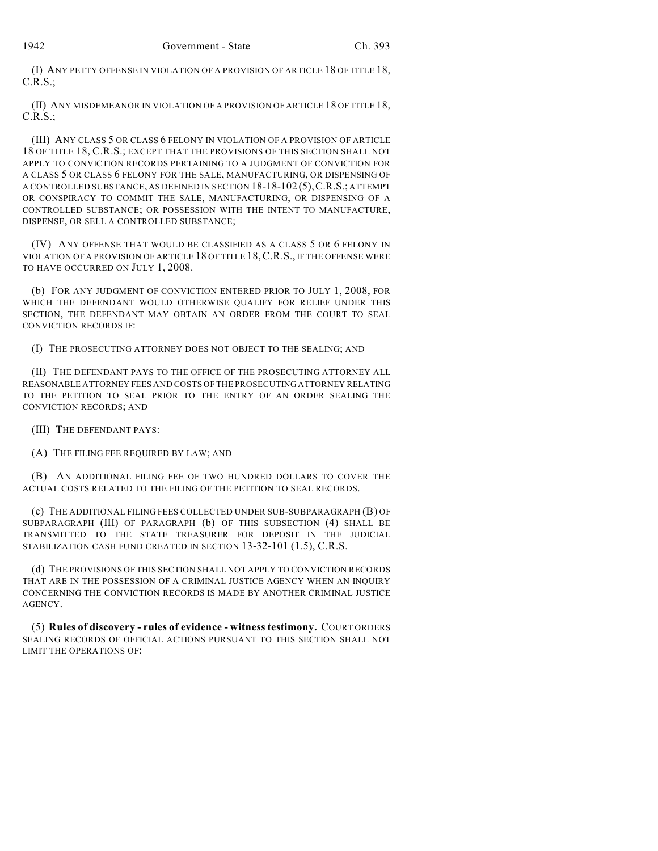(I) ANY PETTY OFFENSE IN VIOLATION OF A PROVISION OF ARTICLE 18 OF TITLE 18, C.R.S.;

(II) ANY MISDEMEANOR IN VIOLATION OF A PROVISION OF ARTICLE 18 OF TITLE 18, C.R.S.;

(III) ANY CLASS 5 OR CLASS 6 FELONY IN VIOLATION OF A PROVISION OF ARTICLE 18 OF TITLE 18, C.R.S.; EXCEPT THAT THE PROVISIONS OF THIS SECTION SHALL NOT APPLY TO CONVICTION RECORDS PERTAINING TO A JUDGMENT OF CONVICTION FOR A CLASS 5 OR CLASS 6 FELONY FOR THE SALE, MANUFACTURING, OR DISPENSING OF A CONTROLLED SUBSTANCE, AS DEFINED IN SECTION 18-18-102 (5),C.R.S.; ATTEMPT OR CONSPIRACY TO COMMIT THE SALE, MANUFACTURING, OR DISPENSING OF A CONTROLLED SUBSTANCE; OR POSSESSION WITH THE INTENT TO MANUFACTURE, DISPENSE, OR SELL A CONTROLLED SUBSTANCE;

(IV) ANY OFFENSE THAT WOULD BE CLASSIFIED AS A CLASS 5 OR 6 FELONY IN VIOLATION OF A PROVISION OF ARTICLE 18 OF TITLE 18,C.R.S., IF THE OFFENSE WERE TO HAVE OCCURRED ON JULY 1, 2008.

(b) FOR ANY JUDGMENT OF CONVICTION ENTERED PRIOR TO JULY 1, 2008, FOR WHICH THE DEFENDANT WOULD OTHERWISE QUALIFY FOR RELIEF UNDER THIS SECTION, THE DEFENDANT MAY OBTAIN AN ORDER FROM THE COURT TO SEAL CONVICTION RECORDS IF:

(I) THE PROSECUTING ATTORNEY DOES NOT OBJECT TO THE SEALING; AND

(II) THE DEFENDANT PAYS TO THE OFFICE OF THE PROSECUTING ATTORNEY ALL REASONABLE ATTORNEY FEES AND COSTS OF THE PROSECUTING ATTORNEY RELATING TO THE PETITION TO SEAL PRIOR TO THE ENTRY OF AN ORDER SEALING THE CONVICTION RECORDS; AND

(III) THE DEFENDANT PAYS:

(A) THE FILING FEE REQUIRED BY LAW; AND

(B) AN ADDITIONAL FILING FEE OF TWO HUNDRED DOLLARS TO COVER THE ACTUAL COSTS RELATED TO THE FILING OF THE PETITION TO SEAL RECORDS.

(c) THE ADDITIONAL FILING FEES COLLECTED UNDER SUB-SUBPARAGRAPH (B) OF SUBPARAGRAPH (III) OF PARAGRAPH (b) OF THIS SUBSECTION (4) SHALL BE TRANSMITTED TO THE STATE TREASURER FOR DEPOSIT IN THE JUDICIAL STABILIZATION CASH FUND CREATED IN SECTION 13-32-101 (1.5), C.R.S.

(d) THE PROVISIONS OF THIS SECTION SHALL NOT APPLY TO CONVICTION RECORDS THAT ARE IN THE POSSESSION OF A CRIMINAL JUSTICE AGENCY WHEN AN INQUIRY CONCERNING THE CONVICTION RECORDS IS MADE BY ANOTHER CRIMINAL JUSTICE AGENCY.

(5) **Rules of discovery - rules of evidence - witness testimony.** COURT ORDERS SEALING RECORDS OF OFFICIAL ACTIONS PURSUANT TO THIS SECTION SHALL NOT LIMIT THE OPERATIONS OF: